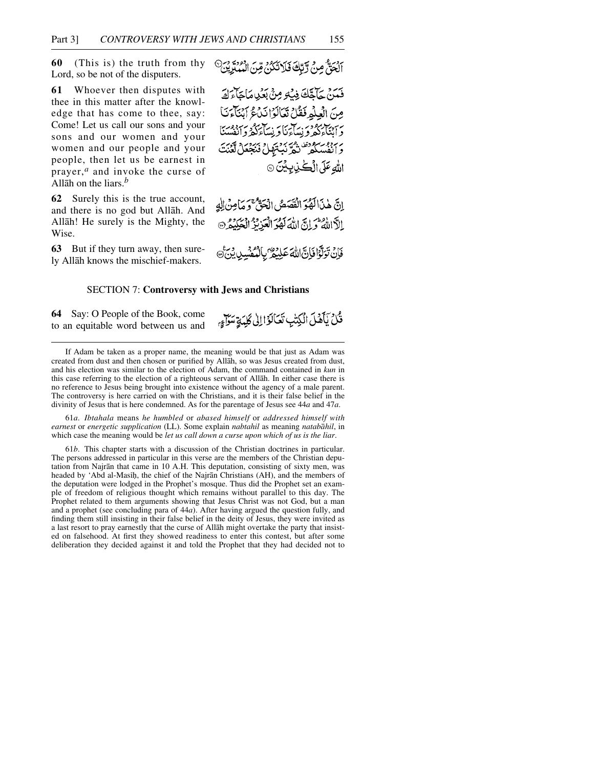**60** (This is) the truth from thy Lord, so be not of the disputers.

**61** Whoever then disputes with thee in this matter after the knowledge that has come to thee, say: Come! Let us call our sons and your sons and our women and your women and our people and your people, then let us be earnest in prayer,*<sup>a</sup>* and invoke the curse of Allåh on the liars.*<sup>b</sup>*

**62** Surely this is the true account, and there is no god but Allåh. And Allåh! He surely is the Mighty, the Wise.

**63** But if they turn away, then surely Allåh knows the mischief-makers.

الحَقَّ مِنْ رَّبِّكَ فَلَاتَكُنْ مِّنَ الْمُنْزِينَ

فَعَنْ حَآجَّكَ فِيكِ مِنْ بَعْدِ مَاجَاءَكَ مِنَ الْعِلْمِ فَقُلْ تَعَالَوْا نَدْعُ آبِنَاءَنَا د اننگاء گھرو نیپا کی دستانزگٹر د انفسنگا بربرد مستوقف ديسكن والمنجعل لكنت الله عَلَى الْڪُنِ بِيْنَ ۞

إِنَّ هٰذَالَهُوَ الْفَصَصُ الْحَقُّ ۚ وَ مَامِنْ اللَّهِ الآالله والتّ اللهَ لَهُوَ الْعَزِنْزُ الْعَكِيْݣِنْ

فَأَنْ تَوَلَّوْا فَإِنَّ اللَّهَ عَلِيْهِمْ ۖ بِالْمُكْتَسِينِ بِنَ ﴾

قُلْ يَأْهُلَ الْكِتْبِ تَعَالَوْا إِلَى كَلِيَةٍ سَوَاءٍ

## SECTION 7: **Controversy with Jews and Christians**

**64** Say: O People of the Book, come to an equitable word between us and

If Adam be taken as a proper name, the meaning would be that just as Adam was created from dust and then chosen or purified by Allåh, so was Jesus created from dust, and his election was similar to the election of Adam, the command contained in *kun* in this case referring to the election of a righteous servant of Allåh. In either case there is no reference to Jesus being brought into existence without the agency of a male parent. The controversy is here carried on with the Christians, and it is their false belief in the divinity of Jesus that is here condemned. As for the parentage of Jesus see 44*a* and 47*a*.

61*a*. *Ibtahala* means *he humbled* or *abased himself* or *addressed himself with earnest* or *energetic supplication* (LL). Some explain *nabtahil* as meaning *natabåhil*, in which case the meaning would be *let us call down a curse upon which of us is the liar*.

61*b*. This chapter starts with a discussion of the Christian doctrines in particular. The persons addressed in particular in this verse are the members of the Christian deputation from Najrån that came in 10 A.H. This deputation, consisting of sixty men, was headed by 'Abd al-Masih, the chief of the Najran Christians (AH), and the members of the deputation were lodged in the Prophet's mosque. Thus did the Prophet set an example of freedom of religious thought which remains without parallel to this day. The Prophet related to them arguments showing that Jesus Christ was not God, but a man and a prophet (see concluding para of 44*a*). After having argued the question fully, and finding them still insisting in their false belief in the deity of Jesus, they were invited as a last resort to pray earnestly that the curse of Allåh might overtake the party that insisted on falsehood. At first they showed readiness to enter this contest, but after some deliberation they decided against it and told the Prophet that they had decided not to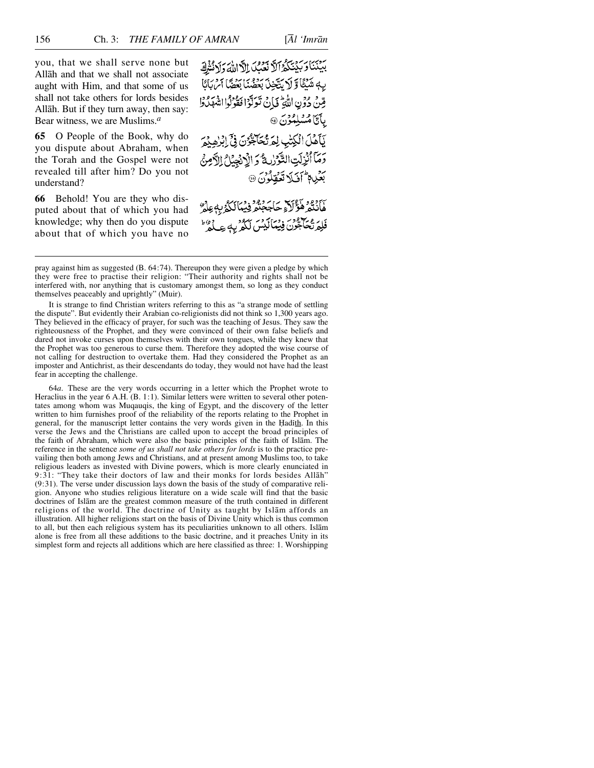you, that we shall serve none but Allåh and that we shall not associate aught with Him, and that some of us shall not take others for lords besides Allåh. But if they turn away, then say: Bear witness, we are Muslims.*<sup>a</sup>*

**65** O People of the Book, why do you dispute about Abraham, when the Torah and the Gospel were not revealed till after him? Do you not understand?

**66** Behold! You are they who disputed about that of which you had knowledge; why then do you dispute about that of which you have no بِيَبْنَاوَبَيْنَكُوْ الَّا نَعَبُ اِلَّاللَّهَ وَلَا نُثْرِكَ بِهٖ شَيْئًا وَلَا يَتَّخِذَ بَعَضُنَا بَعْضًا آَسْ بَايًا مِّينَ دُونِ اللَّهِ فَإِنْ تَدَبَّوْا مُقْوَلُوا انْتَهَلُدُوا يآتامشلِمُونَ @

يَأَمَّلَ الْكِتْبِ لِمَرَّكْتَاجَّوُنَ فِي الْزَاهِيْمَ وَمَآ أَنْزِلَتِ التَّوَرِّدِينَّ وَ الْإِنْجِيْلُ الدَّمِنُ بَعْيِي مِمْ أَفَيْلَا تَعَقِّلُوْنَ ۞

كَأَنْتُمُ هَؤَلَاءِ حَاجَجَتْمُ فِيُمَالَكُمُ بِهِ عِلْمٌ فَلِمَرْتُحَاجُّوْنَ فِيُمَالَيْسْ لَكُمْ بِهِ عِيْدُهُ ۖ

pray against him as suggested (B. 64:74). Thereupon they were given a pledge by which they were free to practise their religion: "Their authority and rights shall not be interfered with, nor anything that is customary amongst them, so long as they conduct themselves peaceably and uprightly" (Muir).

It is strange to find Christian writers referring to this as "a strange mode of settling the dispute". But evidently their Arabian co-religionists did not think so 1,300 years ago. They believed in the efficacy of prayer, for such was the teaching of Jesus. They saw the righteousness of the Prophet, and they were convinced of their own false beliefs and dared not invoke curses upon themselves with their own tongues, while they knew that the Prophet was too generous to curse them. Therefore they adopted the wise course of not calling for destruction to overtake them. Had they considered the Prophet as an imposter and Antichrist, as their descendants do today, they would not have had the least fear in accepting the challenge.

64*a*. These are the very words occurring in a letter which the Prophet wrote to Heraclius in the year 6 A.H. (B. 1:1). Similar letters were written to several other potentates among whom was Muqauqis, the king of Egypt, and the discovery of the letter written to him furnishes proof of the reliability of the reports relating to the Prophet in general, for the manuscript letter contains the very words given in the Hadith. In this verse the Jews and the Christians are called upon to accept the broad principles of the faith of Abraham, which were also the basic principles of the faith of Islåm. The reference in the sentence *some of us shall not take others for lords* is to the practice prevailing then both among Jews and Christians, and at present among Muslims too, to take religious leaders as invested with Divine powers, which is more clearly enunciated in 9:31: "They take their doctors of law and their monks for lords besides Allåh" (9:31). The verse under discussion lays down the basis of the study of comparative religion. Anyone who studies religious literature on a wide scale will find that the basic doctrines of Islåm are the greatest common measure of the truth contained in different religions of the world. The doctrine of Unity as taught by Islåm affords an illustration. All higher religions start on the basis of Divine Unity which is thus common to all, but then each religious system has its peculiarities unknown to all others. Islåm alone is free from all these additions to the basic doctrine, and it preaches Unity in its simplest form and rejects all additions which are here classified as three: 1. Worshipping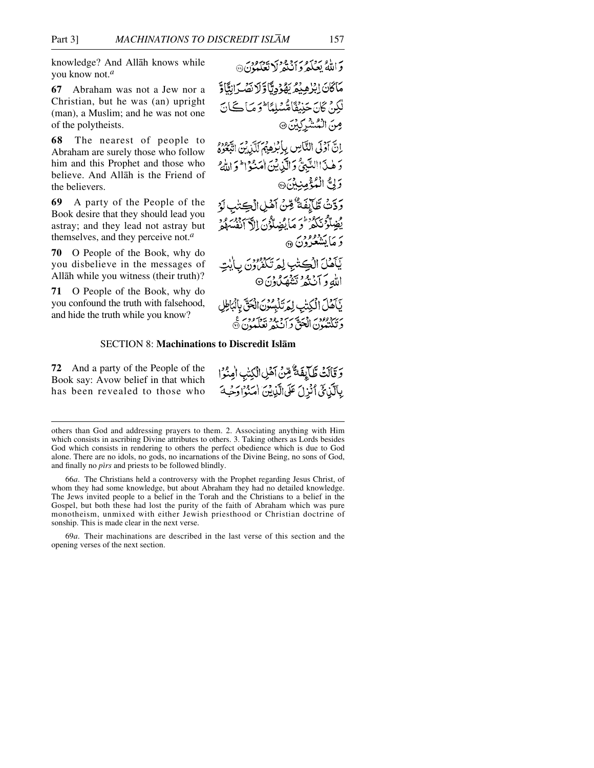knowledge? And Allåh knows while you know not.*<sup>a</sup>*

**67** Abraham was not a Jew nor a Christian, but he was (an) upright (man), a Muslim; and he was not one of the polytheists.

**68** The nearest of people to Abraham are surely those who follow him and this Prophet and those who believe. And Allåh is the Friend of the believers.

**69** A party of the People of the Book desire that they should lead you astray; and they lead not astray but themselves, and they perceive not.*<sup>a</sup>*

**70** O People of the Book, why do you disbelieve in the messages of Allåh while you witness (their truth)?

**71** O People of the Book, why do you confound the truth with falsehood, and hide the truth while you know?

به او بردورود در دورد.<br>والله بعکه د انتهر (منظمان) مَاكَانَ إِبْرُهِيْمُ بَهُوْدِيًّا وَلَا نَصْدَانِثَاوَ لْكِنْ كَانَ جَنِبْقَاهُسْلِمَا فَوَصَا كَانَ مِنَ الْمُشْرِكِيْنَ ۞ انَّ أَوْلَى النَّاسِ بِإِبْرٰهِ بِمَ آَيْنِ بِنَ اتَّبِعُوهُ دَ هٰذَ النَّبِيُّ وَالَّذِينَ اٰ مَنْوَا وَاللَّهُ وَلِنَّ الْمُؤْمِنِينَ @ وَدَّتْ طَّالِفَةٌ وِّنْ أَهْلِ الْكِتْبِ لَوْ يُضِلُّونَكُمْ وَ مَا يُضِلُّونَ الْآلَفُسِلُو دَ مَايَتْشَعْرُونَ ۞ يَأَهْلَ الْكِتْبِ لِمَرْتَكْفُرُونَ بِأَيْد اللهِ وَآنَنْهُمْ تَشْهَدُونَ۞ يَأْكُلُ الْكِتْبِ لِمَرْتَلْبِسُونَ الْحَقَّ بِالْبَاطِلِ سيپردوود . در سربرو دو بيز ووسر ع<br>د تكتيبون الجن د ان مرتعب ن

## SECTION 8: **Machinations to Discredit Islåm**

**72** And a party of the People of the Book say: Avow belief in that which has been revealed to those who

وَقَالَتْ طَّالِفَةٌ مِّنْ آهَٰلِ الْكِتْبِ الْمِنْوَا بِالَّذِكِّيُّ اُنْزِلَ عَلَى الَّذِيْنَ اٰمَنُوْا دَحْبَهَ

69*a*. Their machinations are described in the last verse of this section and the opening verses of the next section.

others than God and addressing prayers to them. 2. Associating anything with Him which consists in ascribing Divine attributes to others. 3. Taking others as Lords besides God which consists in rendering to others the perfect obedience which is due to God alone. There are no idols, no gods, no incarnations of the Divine Being, no sons of God, and finally no *pirs* and priests to be followed blindly.

<sup>66</sup>*a*. The Christians held a controversy with the Prophet regarding Jesus Christ, of whom they had some knowledge, but about Abraham they had no detailed knowledge. The Jews invited people to a belief in the Torah and the Christians to a belief in the Gospel, but both these had lost the purity of the faith of Abraham which was pure monotheism, unmixed with either Jewish priesthood or Christian doctrine of sonship. This is made clear in the next verse.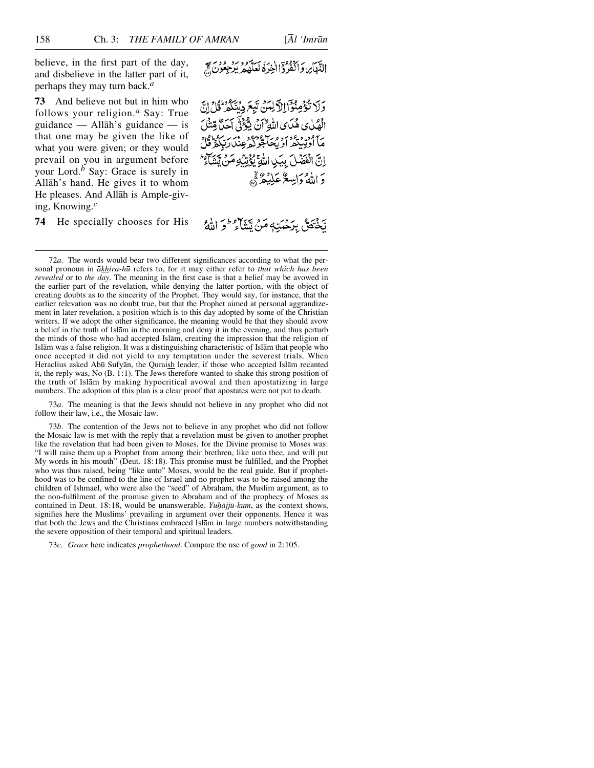believe, in the first part of the day, and disbelieve in the latter part of it, perhaps they may turn back.*<sup>a</sup>*

**73** And believe not but in him who follows your religion.*<sup>a</sup>* Say: True guidance — Allåh's guidance — is that one may be given the like of what you were given; or they would prevail on you in argument before your Lord.*<sup>b</sup>* Say: Grace is surely in Allåh's hand. He gives it to whom He pleases. And Allåh is Ample-giving, Knowing.*<sup>c</sup>*

**74** He specially chooses for His

النَّهَاير وَالْفُرُوَ الْخِرَةُ لَعَلَّهُمْ يَرْجِعُونَ فَي

وَلَا تُؤْمِنُوْٓاْ الْآَلِيِّينَ تَبِعَ دِيۡنَكُمۡرَ قُلۡ إِنَّ الْهُلْيِ هُدَى اللَّهِ ۚ أَنْ يُؤْتِيَ آَحَلَّ قِتْنَلَ ح ود و ودرو رخ ورود قرر برمون.<br>ما اولیپیمراویکانجونگر عِنْدَارتِبِگُرُقُلُّ اِنَّ الْفَضَلَ بِيَبِ اللَّهِ يُؤْتِنِّهِ مَنْ يَتَبَكَّ دَ اللَّهُ وَإِسِعٌ عَلَيْهُ ﷺ

يختصُّ بِدَحْبَتِهِ مَنْ تَتَنَاءُ فَرَاتَتُهُ ۚ

72*a*. The words would bear two different significances according to what the personal pronoun in *åkhira-h∂* refers to, for it may either refer to *that which has been revealed* or to *the day*. The meaning in the first case is that a belief may be avowed in the earlier part of the revelation, while denying the latter portion, with the object of creating doubts as to the sincerity of the Prophet. They would say, for instance, that the earlier relevation was no doubt true, but that the Prophet aimed at personal aggrandizement in later revelation, a position which is to this day adopted by some of the Christian writers. If we adopt the other significance, the meaning would be that they should avow a belief in the truth of Islåm in the morning and deny it in the evening, and thus perturb the minds of those who had accepted Islåm, creating the impression that the religion of Islåm was a false religion. It was a distinguishing characteristic of Islåm that people who once accepted it did not yield to any temptation under the severest trials. When Heraclius asked Abū Sufyān, the Quraish leader, if those who accepted Islām recanted it, the reply was, No (B. 1:1). The Jews therefore wanted to shake this strong position of the truth of Islåm by making hypocritical avowal and then apostatizing in large numbers. The adoption of this plan is a clear proof that apostates were not put to death.

73*a*. The meaning is that the Jews should not believe in any prophet who did not follow their law, i.e., the Mosaic law.

73*b*. The contention of the Jews not to believe in any prophet who did not follow the Mosaic law is met with the reply that a revelation must be given to another prophet like the revelation that had been given to Moses, for the Divine promise to Moses was: "I will raise them up a Prophet from among their brethren, like unto thee, and will put My words in his mouth" (Deut. 18:18). This promise must be fulfilled, and the Prophet who was thus raised, being "like unto" Moses, would be the real guide. But if prophethood was to be confined to the line of Israel and no prophet was to be raised among the children of Ishmael, who were also the "seed" of Abraham, the Muslim argument, as to the non-fulfilment of the promise given to Abraham and of the prophecy of Moses as contained in Deut. 18:18, would be unanswerable. *Yuḥājjū-kum*, as the context shows, signifies here the Muslims' prevailing in argument over their opponents. Hence it was that both the Jews and the Christians embraced Islåm in large numbers notwithstanding the severe opposition of their temporal and spiritual leaders.

73*c*. *Grace* here indicates *prophethood*. Compare the use of *good* in 2:105.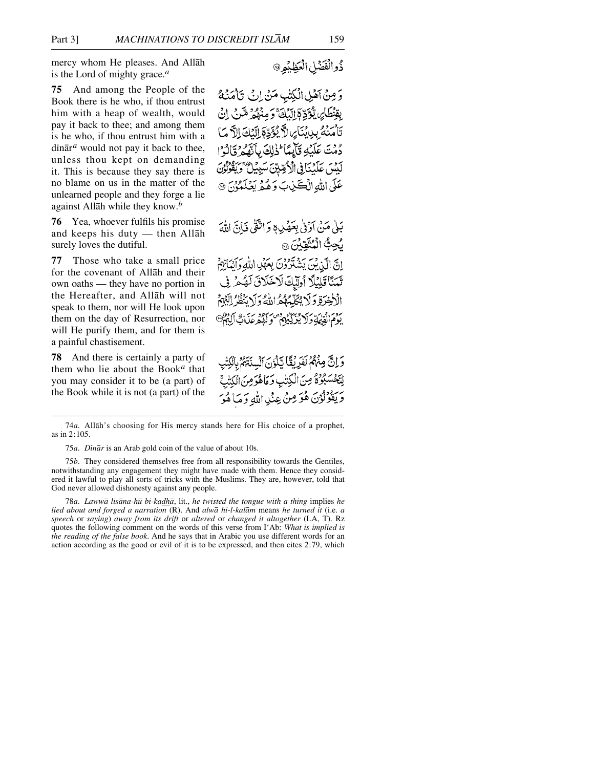mercy whom He pleases. And Allåh is the Lord of mighty grace.*<sup>a</sup>*

**75** And among the People of the Book there is he who, if thou entrust him with a heap of wealth, would pay it back to thee; and among them is he who, if thou entrust him with a  $\dim$ <sup> $\bar{a}$ </sup> would not pay it back to thee. unless thou kept on demanding it. This is because they say there is no blame on us in the matter of the unlearned people and they forge a lie against Allåh while they know.*<sup>b</sup>*

**76** Yea, whoever fulfils his promise and keeps his duty — then Allåh surely loves the dutiful.

**77** Those who take a small price for the covenant of Allåh and their own oaths — they have no portion in the Hereafter, and Allåh will not speak to them, nor will He look upon them on the day of Resurrection, nor will He purify them, and for them is a painful chastisement.

**78** And there is certainly a party of them who lie about the Book*<sup>a</sup>* that you may consider it to be (a part) of the Book while it is not (a part) of the

ذُوالْفَضْلِ الْعَظِيْمِرِ @

وَمِنْ آهُلِ الْكِتْبِ مَنْ إِنْ تَأْمَنُهُ بِقِنْطَائِنِ يُؤَدِّعَ النَّكَ وَمِنْهُمْ مِّنْ إِنْ تَأْمَنْهُ بِدِينَا بِي لاَّ يُؤَدِّعَ النَّكَ الاَّ مَا دُمْتَ عَلَيْهِ قَأَيِّعًا ۖ ذَٰلِكَ بِأَنَّفَهُ ۚ وَٓ ٓاَدُ ؕ ا لَكْتُبَ عَلَيْنَا فِي الْأَكْمِيِّينَ سَبِيْلُ ۚ وَيَقْ عَلَى اللهِ الْكَيْنِبَ وَهُمْ بَعْلَمَوْنَ ۞

بَلَّىٰ مَنْ آؤُوْلَىٰ بِعَصْدِ وَاتَّقَىٰ فَيَانَّ اللَّهَ لَجِبٌّ الْمُتَّقِّدُنَ ۞ إِبِيِّ إِلَىٰ بِيَنِي بَشَدَّوْدِيَ بِعَهْدِ اللَّهِ دَ أَنْبَائِهِمْ تَمَنَّا قَلِيْلًا أُوَّلِّكَ لَاخَلَاقَ لَهُمْ فِي الْأَخِيرَةِ وَلَا يُجَلَّمُهُمُّ اللَّهُ وَلَا يُنْظُرُ إِلَيْهِمْ بَدَمَ الْقَيْمَةِ دَ لَا فَبِرْكَيْهِمْ

وَ إِنَّ مِنْهُمْ لَفَرِيْقًا تَأْذِنَ الْسِنَتَهُمُ بِالْكِتْه لِتَخْسَبُوْهُ مِنَ الْكِتْبِ وَمَاهُوَمِنَ الْكِتْبَ وَيَقُوْلُوْنَ هُوَ مِنْ عِنْدِ اللَّهِ وَمَا هُوَ

78*a*. *Lawwå lisåna-h∂ bi-kadhå*, lit., *he twisted the tongue with a thing* implies *he lied about and forged a narration* (R). And *alwå hi-l-kalåm* means *he turned it* (i.e. *a speech* or *saying*) *away from its drift* or *altered* or *changed it altogether* (LA, T). Rz quotes the following comment on the words of this verse from I'Ab: *What is implied is the reading of the false book*. And he says that in Arabic you use different words for an action according as the good or evil of it is to be expressed, and then cites 2:79, which

<sup>74</sup>*a*. Allåh's choosing for His mercy stands here for His choice of a prophet, as in 2:105.

<sup>75</sup>*a*. *Dßnår* is an Arab gold coin of the value of about 10s.

<sup>75</sup>*b*. They considered themselves free from all responsibility towards the Gentiles, notwithstanding any engagement they might have made with them. Hence they considered it lawful to play all sorts of tricks with the Muslims. They are, however, told that God never allowed dishonesty against any people.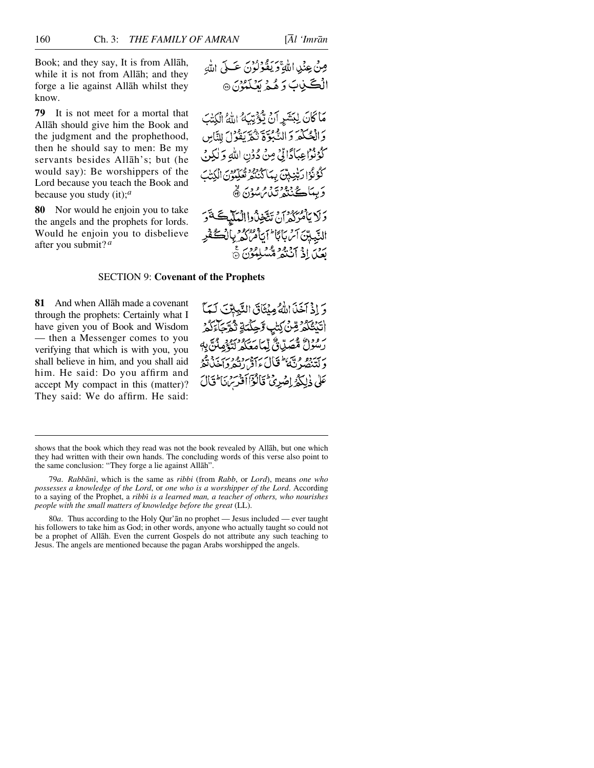Book; and they say, It is from Allåh, while it is not from Allåh; and they forge a lie against Allåh whilst they know.

**79** It is not meet for a mortal that Allåh should give him the Book and the judgment and the prophethood, then he should say to men: Be my servants besides Allåh's; but (he would say): Be worshippers of the Lord because you teach the Book and because you study (it);*<sup>a</sup>*

**80** Nor would he enjoin you to take the angels and the prophets for lords. Would he enjoin you to disbelieve after you submit? *<sup>a</sup>*

مَا كَانَ لِبَشَرِ أَنْ يُؤْتِيَهُ اللَّهُ الْكِتَبَ وَالْحُكْمَ وَالْكَبْوَّةِ تْمُرَيْفُوْلَ لِلنَّاسِ كُوُنُوا عِبَادًا لِّيْ مِنْ دُوْنِ اللَّهِ وَلٰكِنَ كْجُوْنُوْ| رَبّْيْنِينّْ بِيمَا كَنْنَهُمْ تَعْلِيونَ الْكِتْبَ دَ بِيبَاڪُ بِيڤِيونِ بِي مِنْ مِنْ تَقَ

دَلَا بِأَمْرَكُمْ أَنْ تَتَّخِذْدُواالْعَلَيْكَ تَوَ الدَّبِيِّينَ آئِنَ بِأَنَّا ۖ أَيَأْمُرُكُمْ بِالْكُشُكْفَرِ بردس في الجريد و هو الموسع.

## SECTION 9: **Covenant of the Prophets**

**81** And when Allåh made a covenant through the prophets: Certainly what I have given you of Book and Wisdom — then a Messenger comes to you verifying that which is with you, you shall believe in him, and you shall aid him. He said: Do you affirm and accept My compact in this (matter)? They said: We do affirm. He said:

وَ إِذْ آَخَذَ اللَّهُ مِنْتَاقَ النَّبِيِّينَ لَهَا اتَيْتُكُمْ رِّنْ كِتَٰبٍ وَّحِكْمَةٍ ثُمَّةٍ كَامَ رَسُوْلُ مُصَلَّاقٌ لَّمَاً مَعَكُمُ لَيْغَمِيثَنَّ بِهِ رېږدو وې عامي) رېږد د وربر برد و.<br>د لتنصر ته علي افراد تفرواځلانگه عَلَى ذٰلِكُمُ اِصْدِيٌّ قَالُوْٓاأَوْسِرَ، مَا تَالَ

shows that the book which they read was not the book revealed by Allåh, but one which they had written with their own hands. The concluding words of this verse also point to the same conclusion: "They forge a lie against Allåh".

<sup>79</sup>*a*. *Rabbånß*, which is the same as *ribbi* (from *Rabb*, or *Lord*), means *one who possesses a knowledge of the Lord*, or *one who is a worshipper of the Lord*. According to a saying of the Prophet, a *ribbi is a learned man, a teacher of others, who nourishes people with the small matters of knowledge before the great* (LL).

<sup>80</sup>*a*. Thus according to the Holy Qur'ån no prophet — Jesus included — ever taught his followers to take him as God; in other words, anyone who actually taught so could not be a prophet of Allåh. Even the current Gospels do not attribute any such teaching to Jesus. The angels are mentioned because the pagan Arabs worshipped the angels.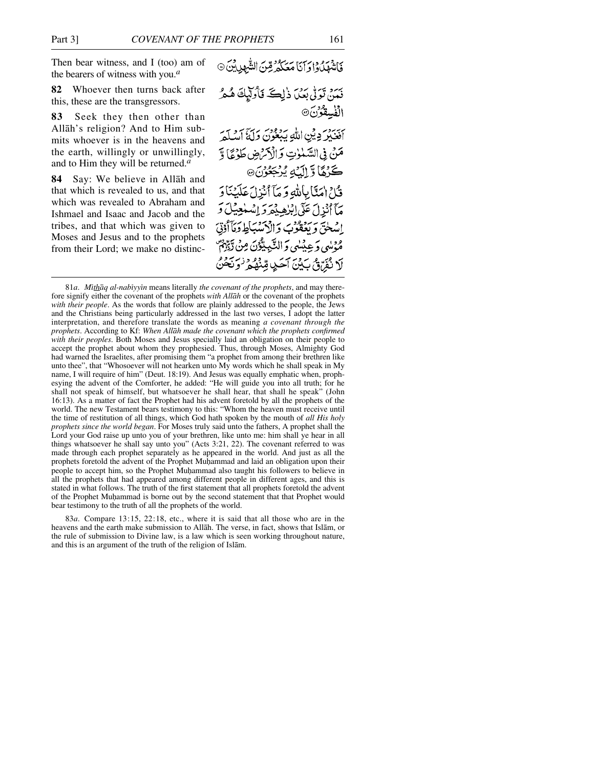Then bear witness, and I (too) am of the bearers of witness with you.*<sup>a</sup>*

**82** Whoever then turns back after this, these are the transgressors.

**83** Seek they then other than Allåh's religion? And to Him submits whoever is in the heavens and the earth, willingly or unwillingly, and to Him they will be returned.*<sup>a</sup>*

**84** Say: We believe in Allåh and that which is revealed to us, and that which was revealed to Abraham and Ishmael and Isaac and Jacob and the tribes, and that which was given to Moses and Jesus and to the prophets from their Lord; we make no distincفَاشْهَلُوا وَآنَا مَعَكُمُ قِنَ الشَّهِدِينَ» نىمن تولّى بعَدَ ذٰلِكَ فَأُولَيْكَ هُمْ الفسقونَ® رسود وين الله سرووس برسيس .<br>افغينز وين الله ببغون وليَّ أمديكم مَنْ فِي السَّنْوٰتِ وَالْأَمْرَضِ طَوْعًا وَّ كَرْمًا وَّ إِلَيْهِ يُرْجَعُوْنَ@ قَّلْ امَنَّا بِاللّهِ وَ مَآ أَنْزِلَ عَلَيْنَا دَ مَآأَنْذِلَ عَلَى اِبْنِصِيْهِمْ وَ اِسْهٰدِيْلَ وَ اسلحٰیّ وَ بَعَقُوبَ وَالْاَسْبَاطِ وَمَأَأْوُتِیَ ه پيدي وَ عِينِيلِي وَ النَّبِيلِيُّوْنَ مِنْ َ لَا نُفَرِّقُ بَيْنَ آَحَدٍ قِنْهُمْ وَنَحْنُ

<sup>81</sup>*a*. *Mithaq al-nabiyyin* means literally *the covenant of the prophets*, and may therefore signify either the covenant of the prophets *with Allåh* or the covenant of the prophets *with their people*. As the words that follow are plainly addressed to the people, the Jews and the Christians being particularly addressed in the last two verses, I adopt the latter interpretation, and therefore translate the words as meaning *a covenant through the prophets*. According to Kf: *When Allåh made the covenant which the prophets confirmed with their peoples*. Both Moses and Jesus specially laid an obligation on their people to accept the prophet about whom they prophesied. Thus, through Moses, Almighty God had warned the Israelites, after promising them "a prophet from among their brethren like unto thee", that "Whosoever will not hearken unto My words which he shall speak in My name, I will require of him" (Deut. 18:19). And Jesus was equally emphatic when, prophesying the advent of the Comforter, he added: "He will guide you into all truth; for he shall not speak of himself, but whatsoever he shall hear, that shall he speak" (John 16:13). As a matter of fact the Prophet had his advent foretold by all the prophets of the world. The new Testament bears testimony to this: "Whom the heaven must receive until the time of restitution of all things, which God hath spoken by the mouth of *all His holy prophets since the world began*. For Moses truly said unto the fathers, A prophet shall the Lord your God raise up unto you of your brethren, like unto me: him shall ye hear in all things whatsoever he shall say unto you" (Acts 3:21, 22). The covenant referred to was made through each prophet separately as he appeared in the world. And just as all the prophets foretold the advent of the Prophet Muhammad and laid an obligation upon their people to accept him, so the Prophet Muhammad also taught his followers to believe in all the prophets that had appeared among different people in different ages, and this is stated in what follows. The truth of the first statement that all prophets foretold the advent of the Prophet Muhammad is borne out by the second statement that that Prophet would bear testimony to the truth of all the prophets of the world.

<sup>83</sup>*a*. Compare 13:15, 22:18, etc., where it is said that all those who are in the heavens and the earth make submission to Allåh. The verse, in fact, shows that Islåm, or the rule of submission to Divine law, is a law which is seen working throughout nature, and this is an argument of the truth of the religion of Islåm.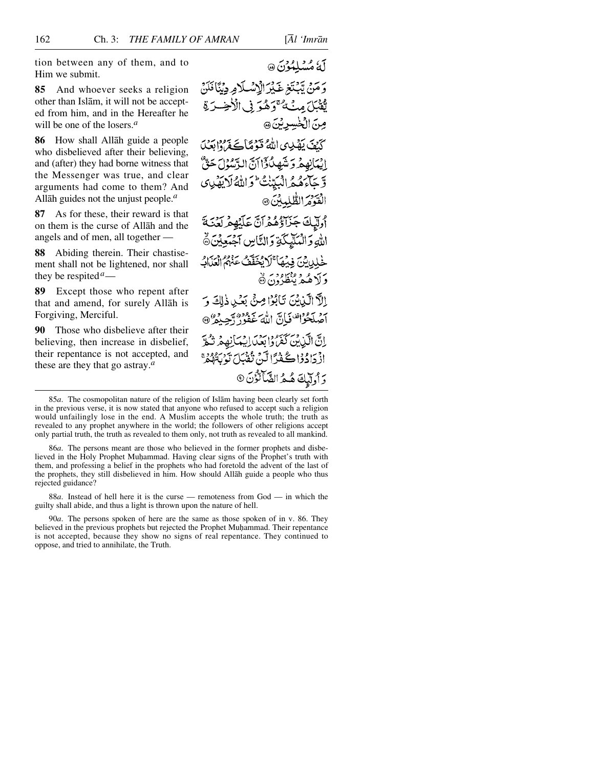tion between any of them, and to Him we submit.

**85** And whoever seeks a religion other than Islåm, it will not be accepted from him, and in the Hereafter he will be one of the losers.*<sup>a</sup>*

**86** How shall Allåh guide a people who disbelieved after their believing, and (after) they had borne witness that the Messenger was true, and clear arguments had come to them? And Allåh guides not the unjust people.*<sup>a</sup>*

**87** As for these, their reward is that on them is the curse of Allåh and the angels and of men, all together —

**88** Abiding therein. Their chastisement shall not be lightened, nor shall they be respited*a*—

**89** Except those who repent after that and amend, for surely Allåh is Forgiving, Merciful.

**90** Those who disbelieve after their believing, then increase in disbelief, their repentance is not accepted, and these are they that go astray.*<sup>a</sup>*

لَّهُ مُسْلِمُوْنَ @

وَمَنْ يَّبْتَغِ غَيْرَ الْإِسْلَامِ دِيْنَافَلَنْ يَّقْبَلَ مِنْ هُ تَرَهُّوَ فِي الْأَخِسْرَةِ صِنَ الْخُسِرِيْنَ @ كَيْفَ يَصْلِهِي اللَّهُ قَوْمًا يَجْفَرُوا بِعَيْدَ إِنِيَأْنِهِمْهُ وَ تَشْهِدُكَوْٓا أَنَّ الدَّسُوۡلَ حَنِّ وَّجَاءَهُمُّ الْمَدَّنْتُ وَاللَّهُ لَا يَفْدِي الْقَوْمَ الطَّلِيلِينَ ۞ وْلِيكَ جَزَاؤُهُمْ أَنَّ عَلَيْهِمْ لَعِنَهُمْ اللهِ وَالْمَلَّهَكَةِ وَالتَّاسِ آجَبَعِينَ ﴾ خْلِينِ بِنِ فِيهِمَا ۚ لَا يُخَفَّفُ عَنْهُمُ الْعَلَّالُ وَلَاهُمْ يُنْظَرُوْنَ۞ إِلَّا الَّذِينَ تَأْبُوْا صِنَّ بَعْدِ ذٰلِكَ وَ آصُلَحُوْاتَ فَانَّ اللَّهَ غَفُورٌ أَجِبْهُمْ @ إِنَّ الَّذِينَ كَفَّ وَابْعَدَائِيْدَانِهِمْ تَكْرَ اذْ دَادُوْا ڪُفْدًا لَّنْ تَقْبَلَ تَوْسَيْتُوْمِ وَأُولِّيكَ هُمُ الشَّالَّوُنَ ®

86*a*. The persons meant are those who believed in the former prophets and disbelieved in the Holy Prophet Muhammad. Having clear signs of the Prophet's truth with them, and professing a belief in the prophets who had foretold the advent of the last of the prophets, they still disbelieved in him. How should Allåh guide a people who thus rejected guidance?

88*a*. Instead of hell here it is the curse — remoteness from God — in which the guilty shall abide, and thus a light is thrown upon the nature of hell.

90*a*. The persons spoken of here are the same as those spoken of in v. 86. They believed in the previous prophets but rejected the Prophet Muhammad. Their repentance is not accepted, because they show no signs of real repentance. They continued to oppose, and tried to annihilate, the Truth.

<sup>85</sup>*a*. The cosmopolitan nature of the religion of Islåm having been clearly set forth in the previous verse, it is now stated that anyone who refused to accept such a religion would unfailingly lose in the end. A Muslim accepts the whole truth; the truth as revealed to any prophet anywhere in the world; the followers of other religions accept only partial truth, the truth as revealed to them only, not truth as revealed to all mankind.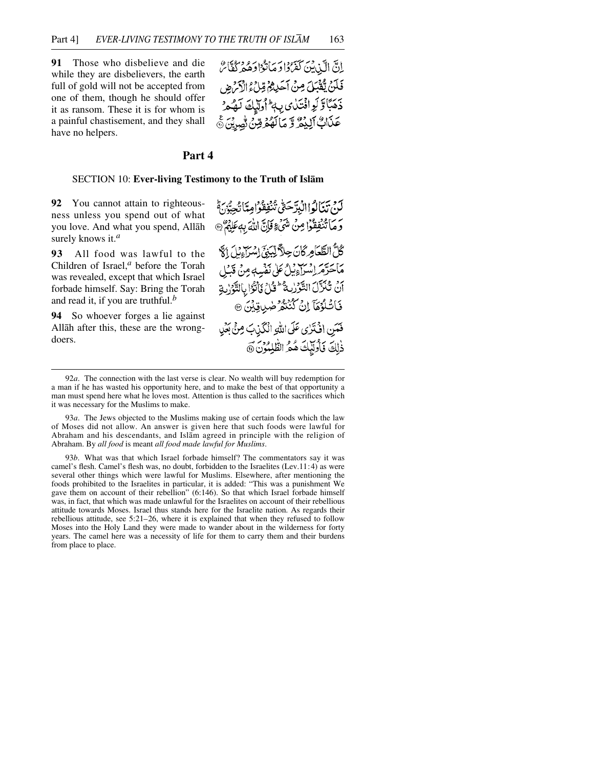**91** Those who disbelieve and die while they are disbelievers, the earth full of gold will not be accepted from one of them, though he should offer it as ransom. These it is for whom is a painful chastisement, and they shall have no helpers.

إِنَّ الَّيْ بِيَنَ كَفَرُدًا وَمَاتَوْا وَهُ مِرْكَةًا سُ فَلَنْ يُقْبَلَ مِنْ آَحَدِهُمْ قِلْ وَالْأَمْ ضِ ذَهَبَاتَوْلَوِانْتَلَايِ بِهِ أَوَلَيْكَ لَهُمْ عَذَابٌ ٱلِيُمُّ وَّ مَالَهُمُ وِّنْ نُصِرِيْنَ ﴾

# **Part 4**

#### SECTION 10: **Ever-living Testimony to the Truth of Islåm**

**92** You cannot attain to righteousness unless you spend out of what you love. And what you spend, Allåh surely knows it.*<sup>a</sup>*

**93** All food was lawful to the Children of Israel,*<sup>a</sup>* before the Torah was revealed, except that which Israel forbade himself. Say: Bring the Torah and read it, if you are truthful.*<sup>b</sup>*

**94** So whoever forges a lie against Allåh after this, these are the wrongdoers.

لَدَمْ تَنَالُواالْدِدَّحَقّْ تَنْفِقُوْامِيَّاتُحَبَّيْهِ ثُمَّ وَمَا تُنْفِقُوْا مِنْ شَيْءٍ فَإِنَّ اللَّهَ بِهِ عَلِيْهٌ ۞ كُلُّ الطَّعَامِرُكَانَ حِلاً لِّبَنِيَ إِسْرَاءِيْلَ إِلَّا ما يحرر وب وعربي لا يَدْيِبُ مِنْ قَبْلِ أَنْ تُنَزَّلَ التَّوْرِيةُ ۖ وَّلْ يَأْتُوْا بِالتَّوَرْبِةِ فَاتْلُوُهَآ إِنْ كُنُنْهُ ضَلِي قِيْنَ @ فَعَنِ اذْنَزِي عَلَى اللَّهِ الْكَذِبَ مِنْ بَعْيِ ذٰلِكَ فَأُولَٰٓئِكَ هُمُّ الطَّٰلِمُوْنَ @

<sup>92</sup>*a*. The connection with the last verse is clear. No wealth will buy redemption for a man if he has wasted his opportunity here, and to make the best of that opportunity a man must spend here what he loves most. Attention is thus called to the sacrifices which it was necessary for the Muslims to make.

<sup>93</sup>*a*. The Jews objected to the Muslims making use of certain foods which the law of Moses did not allow. An answer is given here that such foods were lawful for Abraham and his descendants, and Islåm agreed in principle with the religion of Abraham. By *all food* is meant *all food made lawful for Muslims*.

<sup>93</sup>*b*. What was that which Israel forbade himself? The commentators say it was camel's flesh. Camel's flesh was, no doubt, forbidden to the Israelites (Lev.11:4) as were several other things which were lawful for Muslims. Elsewhere, after mentioning the foods prohibited to the Israelites in particular, it is added: "This was a punishment We gave them on account of their rebellion" (6:146). So that which Israel forbade himself was, in fact, that which was made unlawful for the Israelites on account of their rebellious attitude towards Moses. Israel thus stands here for the Israelite nation. As regards their rebellious attitude, see 5:21–26, where it is explained that when they refused to follow Moses into the Holy Land they were made to wander about in the wilderness for forty years. The camel here was a necessity of life for them to carry them and their burdens from place to place.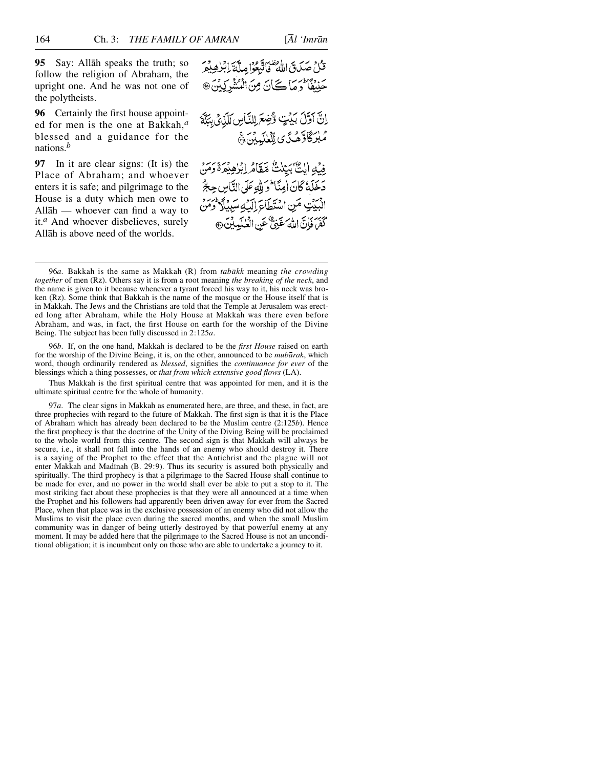**95** Say: Allåh speaks the truth; so follow the religion of Abraham, the upright one. And he was not one of the polytheists.

**96** Certainly the first house appointed for men is the one at Bakkah,*<sup>a</sup>* blessed and a guidance for the nations.*<sup>b</sup>*

**97** In it are clear signs: (It is) the Place of Abraham; and whoever enters it is safe; and pilgrimage to the House is a duty which men owe to Allåh — whoever can find a way to it.*<sup>a</sup>* And whoever disbelieves, surely Allåh is above need of the worlds.

قُلْ صَدَنَ اللَّهُ ۖ فَأَتَّبَعَوْا مِلَّهَ ٓ إِبۡرٰهِ بِمِرۡ حَنِيْفًا وَمَا كَانَ مِنَ الْمُشْرِكِيْنَ @ اِنَّ اَوَّلَ بَيْتٍ وَّضِعَ لِلنَّاسِ لَلَّذِي بِبَكَّةَ مُبْرَكَاوَهُ مَنَ ى لِلْعَلَيِّيْنَ ﴾ فِيْهِ أَيْتَ بَيِّنْتُ مَّقَامُ إِبْرُهِيْمَةَ رَمَنْ دَخَلَهُ كَانَ اٰمِنَّا کُرَ لِلّٰہِ عَلَى النَّاسِ حِبْرُ الْبَيْتِ مَنِ اسْتَطَاعَ إِلَيْهِ سَبِيلًا وَمَنْ

كَفِرْ فَإِنَّ اللَّهَ غَنِيٌّ عَنِ الْعٰلَمِينَ@

96*a*. Bakkah is the same as Makkah (R) from *tabåkk* meaning *the crowding together* of men (Rz). Others say it is from a root meaning *the breaking of the neck*, and the name is given to it because whenever a tyrant forced his way to it, his neck was broken (Rz). Some think that Bakkah is the name of the mosque or the House itself that is in Makkah. The Jews and the Christians are told that the Temple at Jerusalem was erected long after Abraham, while the Holy House at Makkah was there even before Abraham, and was, in fact, the first House on earth for the worship of the Divine Being. The subject has been fully discussed in 2:125*a*.

96*b*. If, on the one hand, Makkah is declared to be the *first House* raised on earth for the worship of the Divine Being, it is, on the other, announced to be *mubårak*, which word, though ordinarily rendered as *blessed*, signifies the *continuance for ever* of the blessings which a thing possesses, or *that from which extensive good flows* (LA).

Thus Makkah is the first spiritual centre that was appointed for men, and it is the ultimate spiritual centre for the whole of humanity.

97*a*. The clear signs in Makkah as enumerated here, are three, and these, in fact, are three prophecies with regard to the future of Makkah. The first sign is that it is the Place of Abraham which has already been declared to be the Muslim centre (2:125*b*). Hence the first prophecy is that the doctrine of the Unity of the Diving Being will be proclaimed to the whole world from this centre. The second sign is that Makkah will always be secure, i.e., it shall not fall into the hands of an enemy who should destroy it. There is a saying of the Prophet to the effect that the Antichrist and the plague will not enter Makkah and Madinah (B. 29:9). Thus its security is assured both physically and spiritually. The third prophecy is that a pilgrimage to the Sacred House shall continue to be made for ever, and no power in the world shall ever be able to put a stop to it. The most striking fact about these prophecies is that they were all announced at a time when the Prophet and his followers had apparently been driven away for ever from the Sacred Place, when that place was in the exclusive possession of an enemy who did not allow the Muslims to visit the place even during the sacred months, and when the small Muslim community was in danger of being utterly destroyed by that powerful enemy at any moment. It may be added here that the pilgrimage to the Sacred House is not an unconditional obligation; it is incumbent only on those who are able to undertake a journey to it.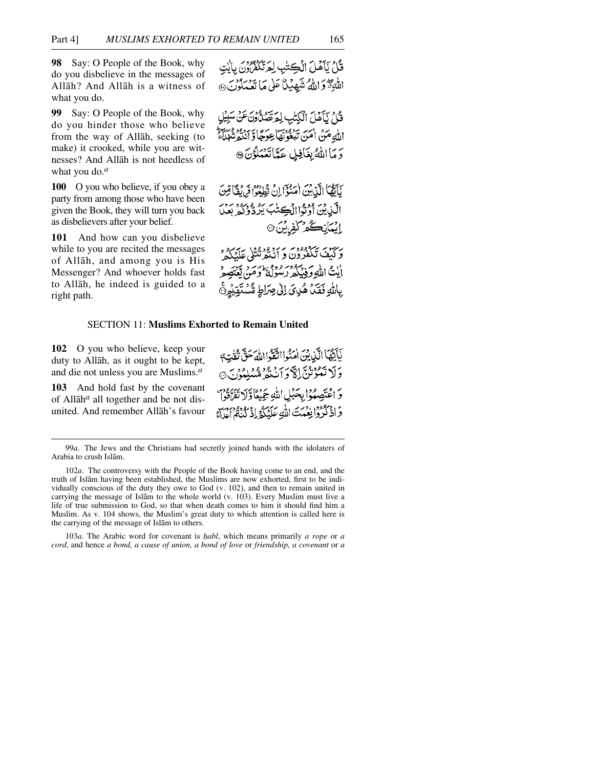**98** Say: O People of the Book, why do you disbelieve in the messages of Allåh? And Allåh is a witness of what you do.

**99** Say: O People of the Book, why do you hinder those who believe from the way of Allåh, seeking (to make) it crooked, while you are witnesses? And Allåh is not heedless of what you do.*<sup>a</sup>*

**100** O you who believe, if you obey a party from among those who have been given the Book, they will turn you back as disbelievers after your belief.

**101** And how can you disbelieve while to you are recited the messages of Allåh, and among you is His Messenger? And whoever holds fast to Allåh, he indeed is guided to a right path.

والمتواكداته اقتصاب المرتكز ومودس الن

أيتُ اللَّهِ وَفِيْكُمْ رَسُولُهُ وَمَنْ بِاللَّهِ فَقَدْ هُدِيَ إِلَىٰ صِرَاطٍ مُّسْتَقِ

## SECTION 11: **Muslims Exhorted to Remain United**

**102** O you who believe, keep your duty to Allåh, as it ought to be kept, and die not unless you are Muslims.*<sup>a</sup>*

**103** And hold fast by the covenant of Allåh*<sup>a</sup>* all together and be not disunited. And remember Allåh's favour

لَأَيُّهَا الَّذِيْنَ امْنُوااتَّقَوْااللَّهَ حَقٌّ تُفْتِهِ وَلَا تَعُوْنُنَّ إِلاَّ وَأَنْنَفُرُ مُّسُلِّمُوْنَ ۞ وَ اعْتَصِبُوْا بِحَبْلِ اللَّهِ جَمِيْكَا وَلَا تَفَرَّدُونَ وَ ادْمُ مِنْ دَمِنَ اللَّهِ عَلَيْكُمْ إِذْ يُؤْدِمُ دِبَرْ وَ الْمَدَاءُ

103*a*. The Arabic word for covenant is *√abl*, which means primarily *a rope* or *a cord*, and hence *a bond, a cause of union, a bond of love* or *friendship, a covenant* or *a*

<sup>99</sup>*a*. The Jews and the Christians had secretly joined hands with the idolaters of Arabia to crush Islåm.

<sup>102</sup>*a*. The controversy with the People of the Book having come to an end, and the truth of Islåm having been established, the Muslims are now exhorted, first to be individually conscious of the duty they owe to God (v. 102), and then to remain united in carrying the message of Islåm to the whole world (v. 103). Every Muslim must live a life of true submission to God, so that when death comes to him it should find him a Muslim. As v. 104 shows, the Muslim's great duty to which attention is called here is the carrying of the message of Islåm to others.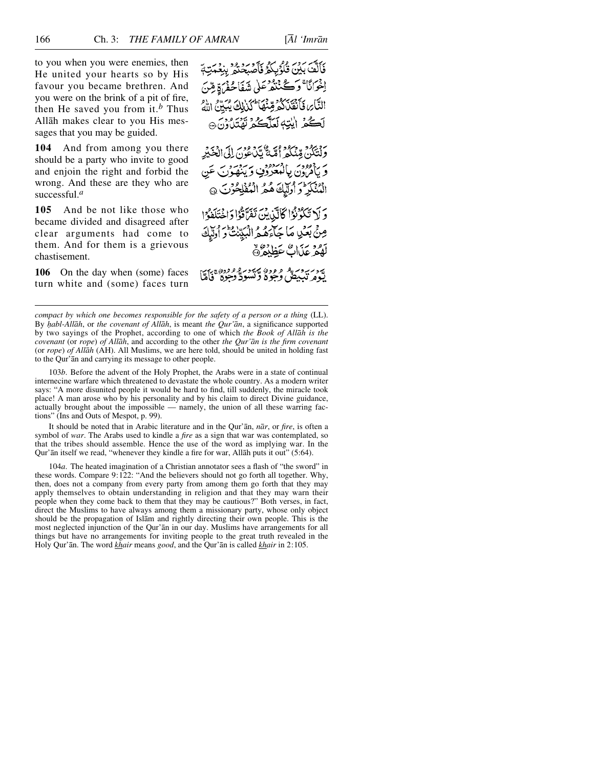to you when you were enemies, then He united your hearts so by His favour you became brethren. And you were on the brink of a pit of fire, then He saved you from it.*<sup>b</sup>* Thus Allåh makes clear to you His messages that you may be guided.

**104** And from among you there should be a party who invite to good and enjoin the right and forbid the wrong. And these are they who are successful.*<sup>a</sup>*

**105** And be not like those who became divided and disagreed after clear arguments had come to them. And for them is a grievous chastisement.

**106** On the day when (some) faces turn white and (some) faces turn بِرِ مِنْ مَدْرٍ وَفَرِيْكُمْ فَأَصْبَحْتُمْ بِنِعْمَتِهَمْ إخوانًا ۚ وَكَنْنَفُرْعَلٰى شَفَاحُفُنَ ةِ مِّنَ التَّابِرِ فَأَنْقَدْ كَثَرَ قِينَهَا أَكْذَلِكَ يُبَيِّنُ اللَّهُ لَكُمْ إِيْتِهِ لَعَلَّكُمْ نَفْتَدُونَ ﴾

وَلْتَكُنَّ قِدْيُكُمْ أَمَّةً تَكَلُّونَ إِلَى الْخَيْرِ بر جودد بالمنورون بريزد.<br>و بالرون بالمعرون وينهون عن الْمُنْكَرِ وَأُولَّلِكَ هُمُ الْمُفْلِحُونَ @

وَ لَا تَكُوُّنُوْا كَانَّ بِنَ تَفَرَّقُوْا دَاخْتَلَفُوْا مِنْيَ بَعْيٍ مَا جَآءَهُ هُ الْبَيِّنِتَ وَ أُولَيْكَ لَّهُمْ عَذَاكٌ عَظِنْهُ ۞

پرد بردید و وده پیرد و ووده برد.<br>یکومرتببیش وجود و تسود وجود فاما

*compact by which one becomes responsible for the safety of a person or a thing (LL).* By *habl-Allāh*, or *the covenant of Allāh*, is meant *the Qur'ān*, a significance supported by two sayings of the Prophet, according to one of which *the Book of Allåh is the covenant* (or *rope*) *of Allåh*, and according to the other *the Qur'ån is the firm covenant* (or *rope*) *of Allåh* (AH). All Muslims, we are here told, should be united in holding fast to the Qur'ån and carrying its message to other people.

103*b*. Before the advent of the Holy Prophet, the Arabs were in a state of continual internecine warfare which threatened to devastate the whole country. As a modern writer says: "A more disunited people it would be hard to find, till suddenly, the miracle took place! A man arose who by his personality and by his claim to direct Divine guidance, actually brought about the impossible — namely, the union of all these warring factions" (Ins and Outs of Mespot, p. 99).

It should be noted that in Arabic literature and in the Qur'ån, *når*, or *fire*, is often a symbol of *war*. The Arabs used to kindle a *fire* as a sign that war was contemplated, so that the tribes should assemble. Hence the use of the word as implying war. In the Qur'ån itself we read, "whenever they kindle a fire for war, Allåh puts it out" (5:64).

104*a*. The heated imagination of a Christian annotator sees a flash of "the sword" in these words. Compare 9:122: "And the believers should not go forth all together. Why, then, does not a company from every party from among them go forth that they may apply themselves to obtain understanding in religion and that they may warn their people when they come back to them that they may be cautious?" Both verses, in fact, direct the Muslims to have always among them a missionary party, whose only object should be the propagation of Islåm and rightly directing their own people. This is the most neglected injunction of the Qur'ån in our day. Muslims have arrangements for all things but have no arrangements for inviting people to the great truth revealed in the Holy Qur'ån. The word *khair* means *good*, and the Qur'ån is called *khair* in 2:105.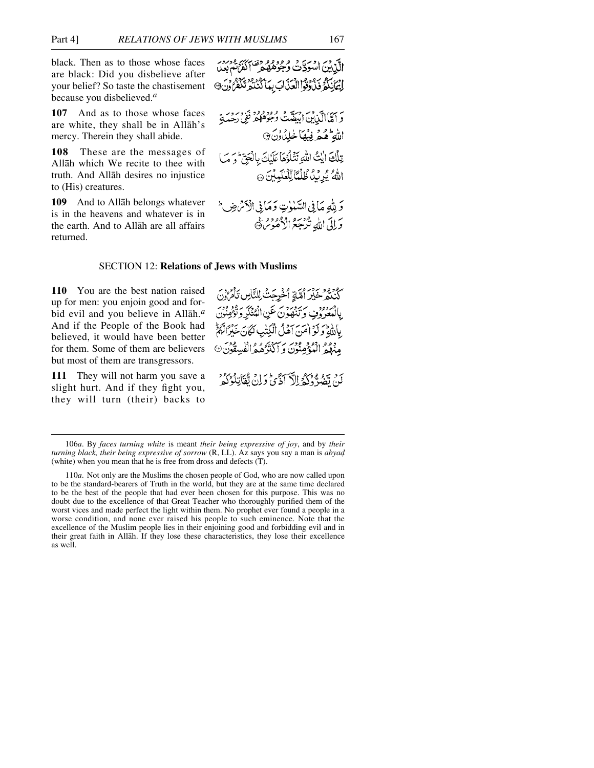black. Then as to those whose faces are black: Did you disbelieve after your belief? So taste the chastisement because you disbelieved.*<sup>a</sup>*

**107** And as to those whose faces are white, they shall be in Allåh's mercy. Therein they shall abide.

**108** These are the messages of Allåh which We recite to thee with truth. And Allåh desires no injustice to (His) creatures.

**109** And to Allåh belongs whatever is in the heavens and whatever is in the earth. And to Allåh are all affairs returned.

الآن وبر وسر و وورو وقد سر ورد.<br>الآن بن اسود ت وجوهه مر الفرنس بعد إِيْهَانِكُمْ فَذَاوَّقُوا الْعَذَابَ بِبِأَكْنُنُكُمْ تَكَفَّرُونَ@

وَ أَمَّاۤالَّذَٰنِينَ أَبِيَضَّتُ وُجُوْهُهُمْ فَوْ رِحِمْدَ اللهِ هُمْ فِيْهَا خْلِدُوْنَ @ تِلْكَ أَيْتُ اللَّهِ تَتْلَوْهَا عَلَيْكَ بِالْجَنِّ وَ مَا اللهُ يُرِيدُ ظُلْمًا لِّلْعُلَمِيْنَ ۞

وَ لِلَّهِ مَا فِي السَّلَوٰتِ وَمَا فِي الْأَسْ ضِ ۖ وَإِلَى اللَّهِ تُرْجَعُ الْأُمُوسُ۞

## SECTION 12: **Relations of Jews with Muslims**

**110** You are the best nation raised up for men: you enjoin good and forbid evil and you believe in Allåh.*<sup>a</sup>* And if the People of the Book had believed, it would have been better for them. Some of them are believers but most of them are transgressors.

**111** They will not harm you save a slight hurt. And if they fight you, they will turn (their) backs to

كَنْنْتُمْ خَيْرِ أُمَّةٍ أُخْرِجَتْ لِلنَّاسِ يَأْمُرُونَ بِالْمُعْرُوُفِ وَنَنْهُوْنَ عَنِ الْمُنْكَرِ دَيْنِيْنِ بِاَلَّمَّةِ وَلَوْاهَنَّ آهَلُ الْكِتْبِ لَكَانَ خَيْرًالَّهُمْ .<br>مِنْهُمُ الْمُؤْمِنُونَ وَ الْكُرْهُمُ الْفُسِقُورُ كَنْ يَصْدُّدُكُمُ إِلَيْهَ كَذَبِيٌّ وَإِنْ تَفَأَتِلُوْكُمْ ۚ

<sup>106</sup>*a*. By *faces turning white* is meant *their being expressive of joy*, and by *their turning black, their being expressive of sorrow* (R, LL). Az says you say a man is *abyad* (white) when you mean that he is free from dross and defects (T).

<sup>110</sup>*a*. Not only are the Muslims the chosen people of God, who are now called upon to be the standard-bearers of Truth in the world, but they are at the same time declared to be the best of the people that had ever been chosen for this purpose. This was no doubt due to the excellence of that Great Teacher who thoroughly purified them of the worst vices and made perfect the light within them. No prophet ever found a people in a worse condition, and none ever raised his people to such eminence. Note that the excellence of the Muslim people lies in their enjoining good and forbidding evil and in their great faith in Allåh. If they lose these characteristics, they lose their excellence as well.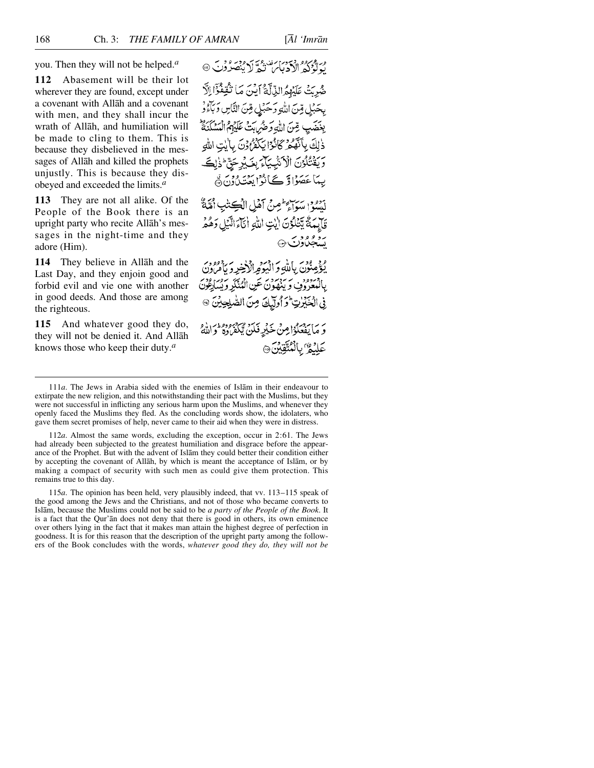you. Then they will not be helped.*<sup>a</sup>*

**112** Abasement will be their lot wherever they are found, except under a covenant with Allåh and a covenant with men, and they shall incur the wrath of Allåh, and humiliation will be made to cling to them. This is because they disbelieved in the messages of Allåh and killed the prophets unjustly. This is because they disobeyed and exceeded the limits.*<sup>a</sup>*

**113** They are not all alike. Of the People of the Book there is an upright party who recite Allåh's messages in the night-time and they adore (Him).

**114** They believe in Allåh and the Last Day, and they enjoin good and forbid evil and vie one with another in good deeds. And those are among the righteous.

**115** And whatever good they do, they will not be denied it. And Allåh knows those who keep their duty.*<sup>a</sup>*

مِ تَوْكُرُهُ الْأَدْبَاسُ تَعْدَّلَا يُنْصَرُوْنَ @

ضُرِيَتْ عَلَيْهِمُ الذِّلَّةُ أَيْنَ مَا نُّقِفُّوْۤا اِلَّا بِحَبْلٍ مِّنَ اللَّهِ وَحَبْلٍ مِّنَ النَّاسِ وَبَاءُوْ بِغَضَبِ مِّنَ اللَّهِ وَحَبُرٍ بِنَ عَلَيْهِمُ الْمَسْكَنَةُ ذٰلِكَ بِأَنَّهُ مُرْكَانُوا يَكْفُرُونَ بِالِيْتِ اللَّهِ وَيَقْتُلُوْنَ الْأَنْبِيَآءَ بِغَيْرِجَنَّ ذَاكَ بِيهَا عَصَوْاتِرْ کَے نُوُا يَعْتَدُ وَمَنَّ

أودو سواء طمير أهل الكشائب أمَّةٌ قَايِمَةٌ يَتَلَوُنَ إيْتِ اللهِ أَنَآءَ الَّذِي دَهُمْ سومودس ۞

وَمِعْدَى بِاللَّهِ وَالْيَوْمِ الْأَخِرِ وَيَأْمَرُونَ بِالْمُعْرُوفِ وَيَنْهَوْنَ عَنِ الْمُنْكَرِ وَيُسَارِعُونَ فِي الْخَبْرِتِ وَأُولَّكَ مِنَ الصَّلِحِيْنَ @

وَ مَا يَفْعَلُوْا مِنْ خَيْرِ فَلَن يَكْفَرُوهُ وَاللَّهُ ۚ عَلَيْمٌ *بِالْمُتَّقِيْنَ*۞

115*a*. The opinion has been held, very plausibly indeed, that vv. 113–115 speak of the good among the Jews and the Christians, and not of those who became converts to Islåm, because the Muslims could not be said to be *a party of the People of the Book*. It is a fact that the Qur'ån does not deny that there is good in others, its own eminence over others lying in the fact that it makes man attain the highest degree of perfection in goodness. It is for this reason that the description of the upright party among the followers of the Book concludes with the words, *whatever good they do, they will not be*

<sup>111</sup>*a*. The Jews in Arabia sided with the enemies of Islåm in their endeavour to extirpate the new religion, and this notwithstanding their pact with the Muslims, but they were not successful in inflicting any serious harm upon the Muslims, and whenever they openly faced the Muslims they fled. As the concluding words show, the idolaters, who gave them secret promises of help, never came to their aid when they were in distress.

<sup>112</sup>*a*. Almost the same words, excluding the exception, occur in 2:61. The Jews had already been subjected to the greatest humiliation and disgrace before the appearance of the Prophet. But with the advent of Islåm they could better their condition either by accepting the covenant of Allåh, by which is meant the acceptance of Islåm, or by making a compact of security with such men as could give them protection. This remains true to this day.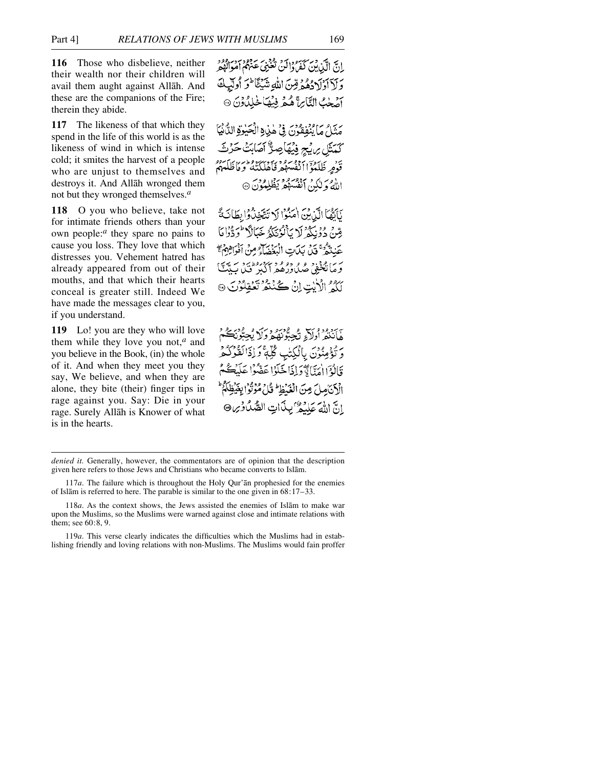**116** Those who disbelieve, neither their wealth nor their children will avail them aught against Allåh. And these are the companions of the Fire; therein they abide.

**117** The likeness of that which they spend in the life of this world is as the likeness of wind in which is intense cold; it smites the harvest of a people who are unjust to themselves and destroys it. And Allåh wronged them not but they wronged themselves.*<sup>a</sup>*

**118** O you who believe, take not for intimate friends others than your own people:*<sup>a</sup>* they spare no pains to cause you loss. They love that which distresses you. Vehement hatred has already appeared from out of their mouths, and that which their hearts conceal is greater still. Indeed We have made the messages clear to you, if you understand.

**119** Lo! you are they who will love them while they love you not,*<sup>a</sup>* and you believe in the Book, (in) the whole of it. And when they meet you they say, We believe, and when they are alone, they bite (their) finger tips in rage against you. Say: Die in your rage. Surely Allåh is Knower of what is in the hearts.

إنّ الّذين كَفّرُدا من تَحْنَى عَنْهُمْ مِرْدُود.<br>إِنّ الّذين كَفّرُدا أَنْ تَعْنَى عَنْهُمْ أَمْوَالُوْهِ وَلَأَأْوُلَادُهُمُهُ قِنْ اللَّهِ شَيْئًا ۖ وَ أُولَيْهِ آصَحْتُ التَّاسِ هُمْ فِيْهَا خَلِدُونَ ۞

مَنَّاحٌ مَا يُنْفَقُّونَ فِي هٰذِهِ الْحَبْوَةِ الدَّنْيَا كَمْتَلِ بِرَبِّحٍ فِيْهَاصِرٌ أَصَابَتْ حَرْثَ قَوْمِرِ ظَلَمُوٓ اٰ ٱنْفُسِهُمْ وَإِمْرَاكَنَّهُ وَمَاظَلَّمَهُمْ اللَّهُ وَلَكِنْ أَنْفُسَهُمْ يَظْلِمُوْنَ ۞

نَاتَهُمَا الَّذِرِبْنَ أُمَنُّوْا لَا تَتَّخِذْرُوْا بِطَانَةً مِّينْ دُوْنِكُمْ لَا بَأَنْوُنَكُمْ خَبَالًا "وَدُّوْا مَا عَندَهُمْ قَبْلُ بِكَاتِ الْبَغْضَآءِ مِنْ أَفْوَاهِهُمْ ۖ بر ام دو و دو و بردرود.<br>ومانځنو، صدادرهمراکبر فند ب لَكُمُّ الْأَيْتِ إِنْ كُنْتُمْ تَعْقِلُوْنَ ۞

ِّهَاَنْتُمَّ اُوَلَاَءِ تُجِبُّوْنَهُمْرُوَلَا پُّ وَتُؤْمِنُونَ بِالْكِتْبِ كُلَّةً وَإِذَالَقُوْكُمْ وَّإِلَٰهَ إِجْرَانَا تَآوَلُوا عَضُّوْا عَلَيْهِ الْأَنَامِلَ مِنَ الْغَدُظِ ظُلِّ مُؤْتَوْا بِغَدِّ انَّ اللَّهَ عَلَيْهُ بِبِنَاتِ الصَّدُّاوِينِ

119*a*. This verse clearly indicates the difficulties which the Muslims had in establishing friendly and loving relations with non-Muslims. The Muslims would fain proffer

*denied it.* Generally, however, the commentators are of opinion that the description given here refers to those Jews and Christians who became converts to Islåm.

<sup>117</sup>*a*. The failure which is throughout the Holy Qur'ån prophesied for the enemies of Islåm is referred to here. The parable is similar to the one given in 68:17–33.

<sup>118</sup>*a*. As the context shows, the Jews assisted the enemies of Islåm to make war upon the Muslims, so the Muslims were warned against close and intimate relations with them; see 60:8, 9.